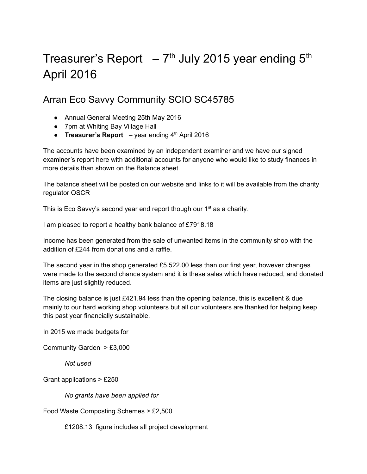## Treasurer's Report  $-7<sup>th</sup>$  July 2015 year ending 5<sup>th</sup> April 2016

## Arran Eco Savvy Community SCIO SC45785

- Annual General Meeting 25th May 2016
- 7pm at Whiting Bay Village Hall
- **Treasurer's Report** year ending 4 th April 2016

The accounts have been examined by an independent examiner and we have our signed examiner's report here with additional accounts for anyone who would like to study finances in more details than shown on the Balance sheet.

The balance sheet will be posted on our website and links to it will be available from the charity regulator OSCR

This is Eco Savvy's second year end report though our 1<sup>st</sup> as a charity.

I am pleased to report a healthy bank balance of £7918.18

Income has been generated from the sale of unwanted items in the community shop with the addition of £244 from donations and a raffle.

The second year in the shop generated £5,522.00 less than our first year, however changes were made to the second chance system and it is these sales which have reduced, and donated items are just slightly reduced.

The closing balance is just £421.94 less than the opening balance, this is excellent & due mainly to our hard working shop volunteers but all our volunteers are thanked for helping keep this past year financially sustainable.

In 2015 we made budgets for

Community Garden > £3,000

*Not used*

Grant applications > £250

*No grants have been applied for*

Food Waste Composting Schemes > £2,500

£1208.13 figure includes all project development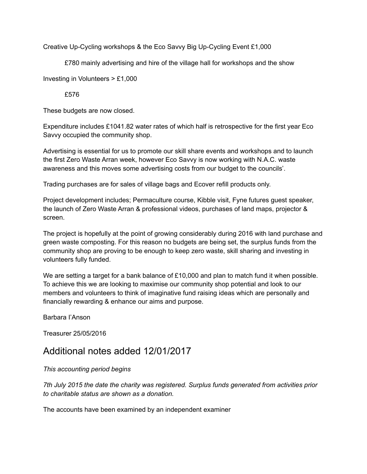Creative Up-Cycling workshops & the Eco Savvy Big Up-Cycling Event £1,000

£780 mainly advertising and hire of the village hall for workshops and the show

Investing in Volunteers > £1,000

£576

These budgets are now closed.

Expenditure includes £1041.82 water rates of which half is retrospective for the first year Eco Savvy occupied the community shop.

Advertising is essential for us to promote our skill share events and workshops and to launch the first Zero Waste Arran week, however Eco Savvy is now working with N.A.C. waste awareness and this moves some advertising costs from our budget to the councils'.

Trading purchases are for sales of village bags and Ecover refill products only.

Project development includes; Permaculture course, Kibble visit, Fyne futures guest speaker, the launch of Zero Waste Arran & professional videos, purchases of land maps, projector & screen.

The project is hopefully at the point of growing considerably during 2016 with land purchase and green waste composting. For this reason no budgets are being set, the surplus funds from the community shop are proving to be enough to keep zero waste, skill sharing and investing in volunteers fully funded.

We are setting a target for a bank balance of  $£10,000$  and plan to match fund it when possible. To achieve this we are looking to maximise our community shop potential and look to our members and volunteers to think of imaginative fund raising ideas which are personally and financially rewarding & enhance our aims and purpose.

Barbara I'Anson

Treasurer 25/05/2016

## Additional notes added 12/01/2017

*This accounting period begins*

*7th July 2015 the date the charity was registered. Surplus funds generated from activities prior to charitable status are shown as a donation.*

The accounts have been examined by an independent examiner